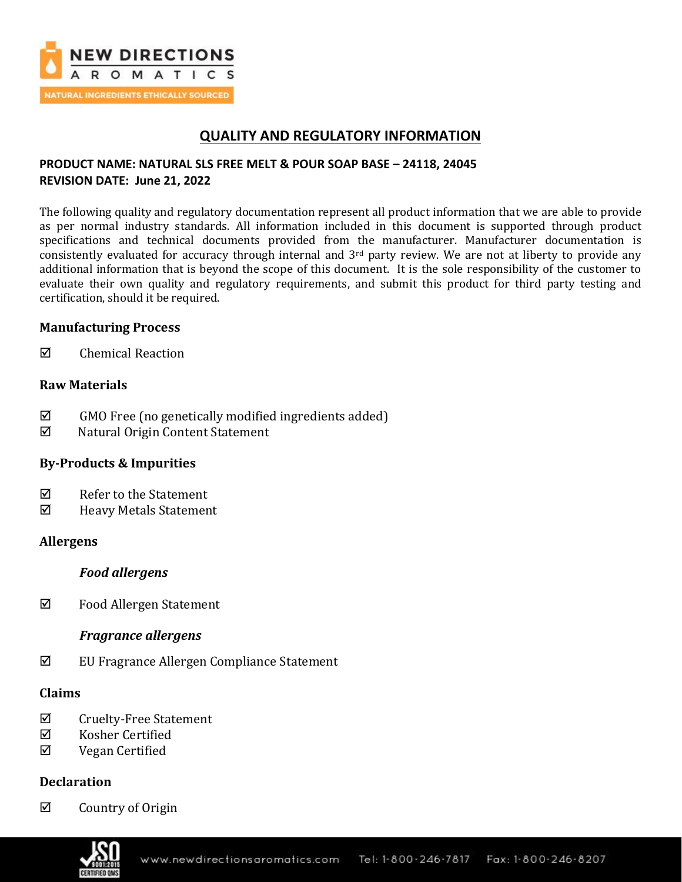

# **QUALITY AND REGULATORY INFORMATION**

## **PRODUCT NAME: NATURAL SLS FREE MELT & POUR SOAP BASE – 24118, 24045 REVISION DATE: June 21, 2022**

The following quality and regulatory documentation represent all product information that we are able to provide as per normal industry standards. All information included in this document is supported through product specifications and technical documents provided from the manufacturer. Manufacturer documentation is consistently evaluated for accuracy through internal and  $3<sup>rd</sup>$  party review. We are not at liberty to provide any additional information that is beyond the scope of this document. It is the sole responsibility of the customer to evaluate their own quality and regulatory requirements, and submit this product for third party testing and certification, should it be required.

## **Manufacturing Process**

 $\boxtimes$  Chemical Reaction

## **Raw Materials**

- $\boxtimes$  GMO Free (no genetically modified ingredients added)
- Natural Origin Content Statement

## **By-Products & Impurities**

- $\boxtimes$  Refer to the Statement
- Heavy Metals Statement

### **Allergens**

### *Food allergens*

 $\boxtimes$  Food Allergen Statement

## *Fragrance allergens*

 $\boxtimes$  EU Fragrance Allergen Compliance Statement

### **Claims**

- $\boxtimes$  Cruelty-Free Statement
- $\boxtimes$  Kosher Certified
- Vegan Certified

## **Declaration**

 $\boxtimes$  Country of Origin

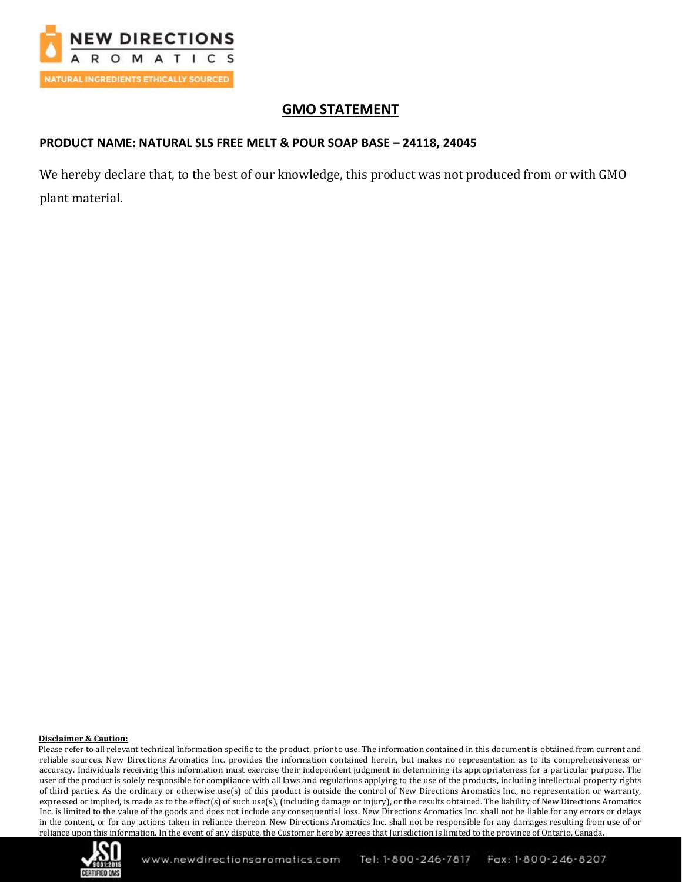

# **GMO STATEMENT**

### **PRODUCT NAME: NATURAL SLS FREE MELT & POUR SOAP BASE – 24118, 24045**

We hereby declare that, to the best of our knowledge, this product was not produced from or with GMO plant material.

### **Disclaimer & Caution:**

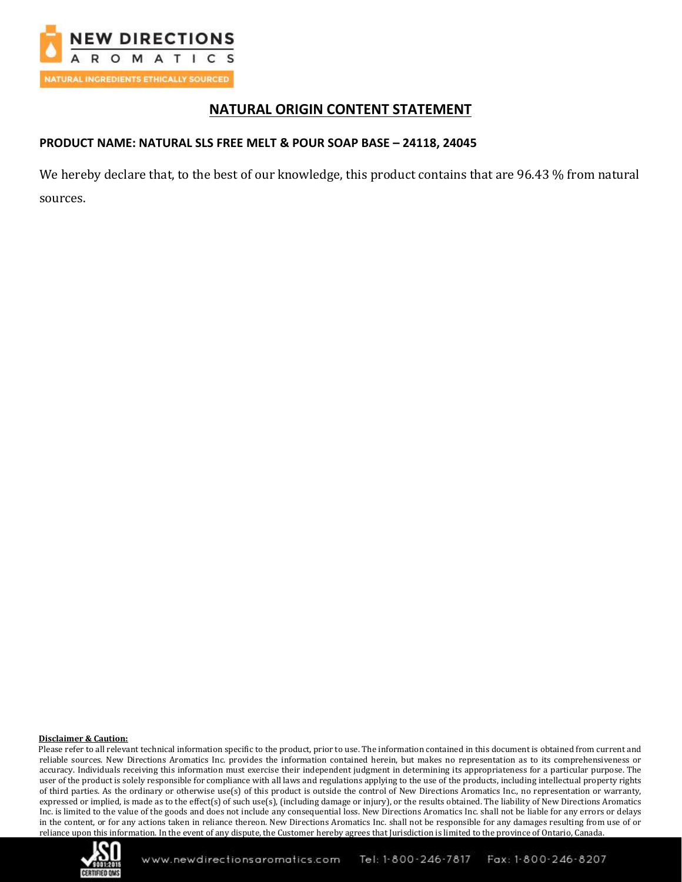

# **NATURAL ORIGIN CONTENT STATEMENT**

### **PRODUCT NAME: NATURAL SLS FREE MELT & POUR SOAP BASE – 24118, 24045**

We hereby declare that, to the best of our knowledge, this product contains that are 96.43 % from natural sources.

### **Disclaimer & Caution:**

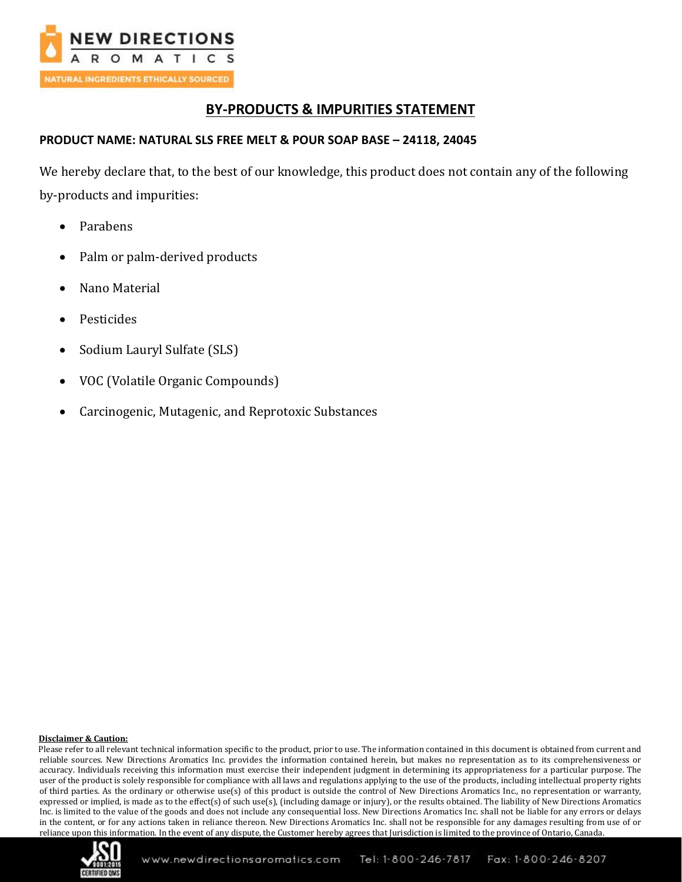

# **BY-PRODUCTS & IMPURITIES STATEMENT**

### **PRODUCT NAME: NATURAL SLS FREE MELT & POUR SOAP BASE – 24118, 24045**

We hereby declare that, to the best of our knowledge, this product does not contain any of the following by-products and impurities:

- Parabens
- Palm or palm-derived products
- Nano Material
- **Pesticides**
- Sodium Lauryl Sulfate (SLS)
- VOC (Volatile Organic Compounds)
- Carcinogenic, Mutagenic, and Reprotoxic Substances

### **Disclaimer & Caution:**

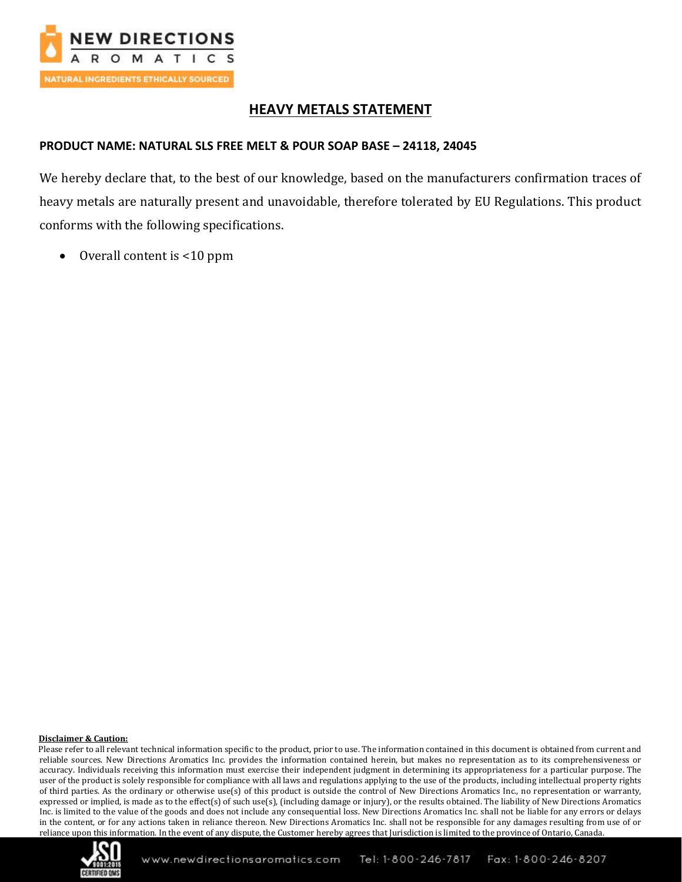

# **HEAVY METALS STATEMENT**

## **PRODUCT NAME: NATURAL SLS FREE MELT & POUR SOAP BASE – 24118, 24045**

We hereby declare that, to the best of our knowledge, based on the manufacturers confirmation traces of heavy metals are naturally present and unavoidable, therefore tolerated by EU Regulations. This product conforms with the following specifications.

• Overall content is <10 ppm

### **Disclaimer & Caution:**

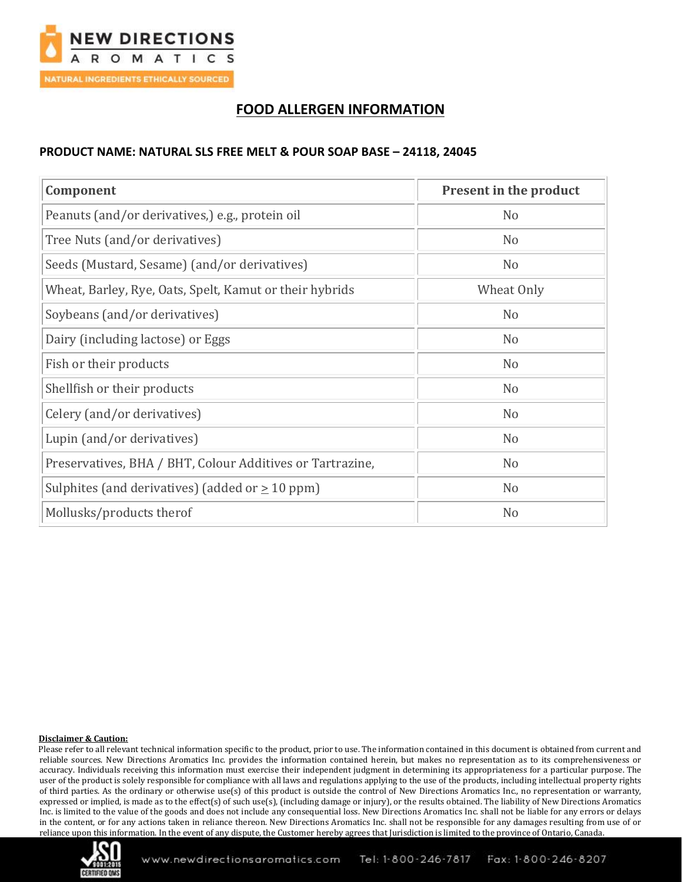

# **FOOD ALLERGEN INFORMATION**

### **PRODUCT NAME: NATURAL SLS FREE MELT & POUR SOAP BASE – 24118, 24045**

| Component                                                 | Present in the product |
|-----------------------------------------------------------|------------------------|
| Peanuts (and/or derivatives,) e.g., protein oil           | N <sub>o</sub>         |
| Tree Nuts (and/or derivatives)                            | N <sub>o</sub>         |
| Seeds (Mustard, Sesame) (and/or derivatives)              | N <sub>o</sub>         |
| Wheat, Barley, Rye, Oats, Spelt, Kamut or their hybrids   | Wheat Only             |
| Soybeans (and/or derivatives)                             | N <sub>o</sub>         |
| Dairy (including lactose) or Eggs                         | N <sub>o</sub>         |
| Fish or their products                                    | N <sub>o</sub>         |
| Shellfish or their products                               | N <sub>o</sub>         |
| Celery (and/or derivatives)                               | N <sub>o</sub>         |
| Lupin (and/or derivatives)                                | N <sub>o</sub>         |
| Preservatives, BHA / BHT, Colour Additives or Tartrazine, | N <sub>o</sub>         |
| Sulphites (and derivatives) (added or $\geq 10$ ppm)      | N <sub>o</sub>         |
| Mollusks/products therof                                  | N <sub>o</sub>         |

### **Disclaimer & Caution:**

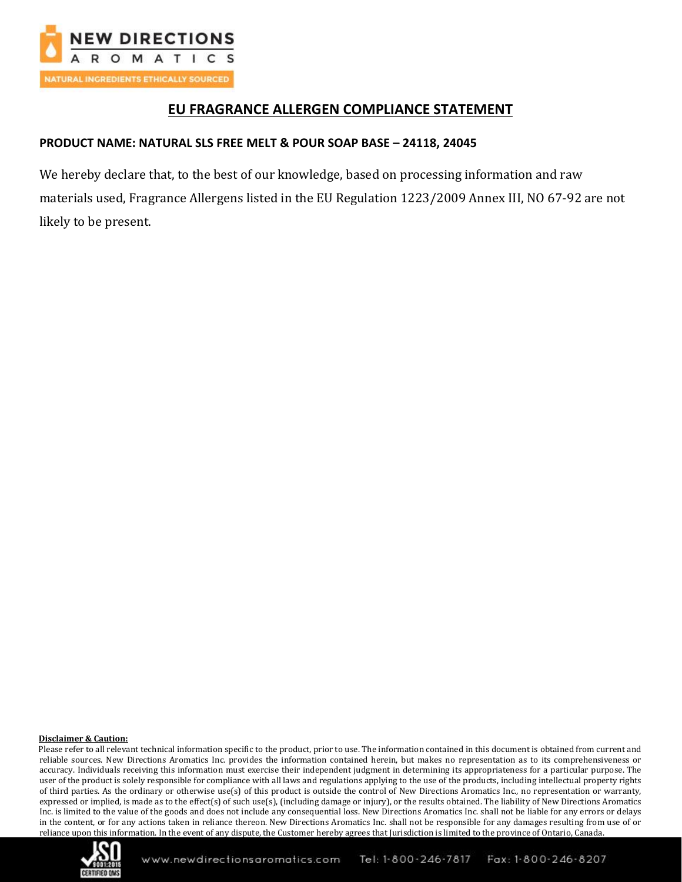

# **EU FRAGRANCE ALLERGEN COMPLIANCE STATEMENT**

## **PRODUCT NAME: NATURAL SLS FREE MELT & POUR SOAP BASE – 24118, 24045**

We hereby declare that, to the best of our knowledge, based on processing information and raw materials used, Fragrance Allergens listed in the EU Regulation 1223/2009 Annex III, NO 67-92 are not likely to be present.

### **Disclaimer & Caution:**

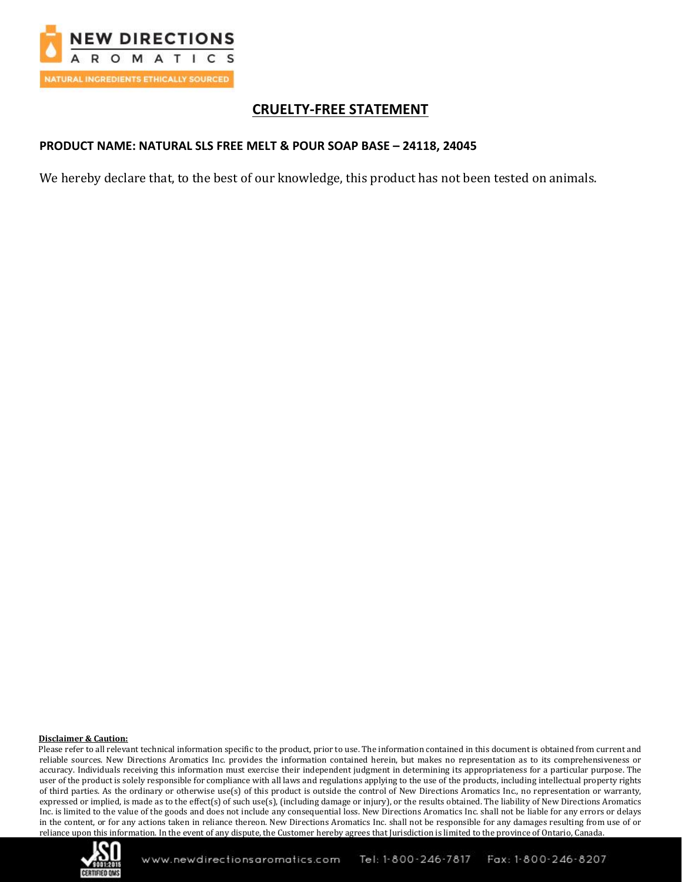

# **CRUELTY-FREE STATEMENT**

## **PRODUCT NAME: NATURAL SLS FREE MELT & POUR SOAP BASE – 24118, 24045**

We hereby declare that, to the best of our knowledge, this product has not been tested on animals.

### **Disclaimer & Caution:**

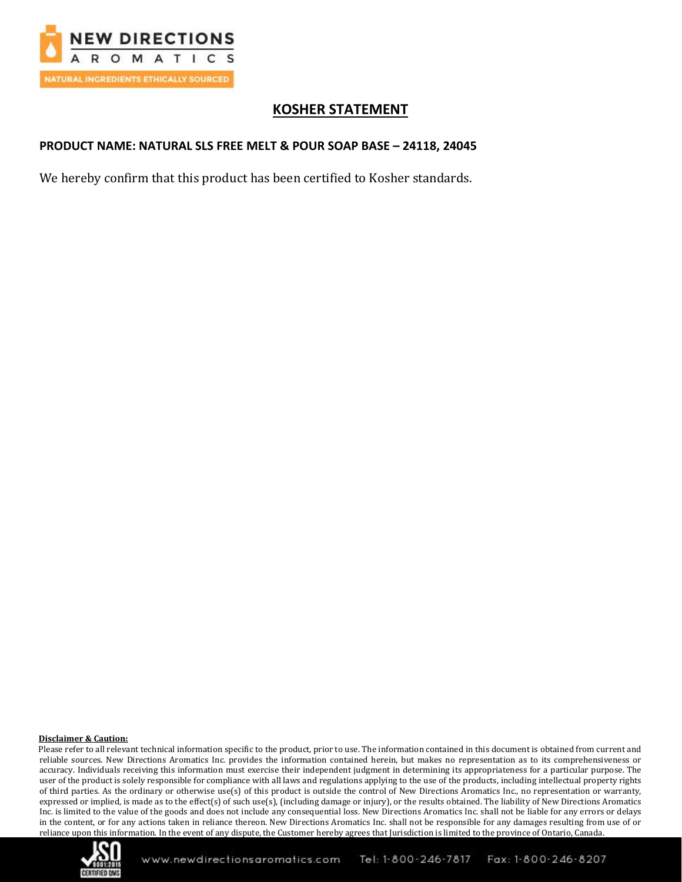

# **KOSHER STATEMENT**

## **PRODUCT NAME: NATURAL SLS FREE MELT & POUR SOAP BASE – 24118, 24045**

We hereby confirm that this product has been certified to Kosher standards.

### **Disclaimer & Caution:**

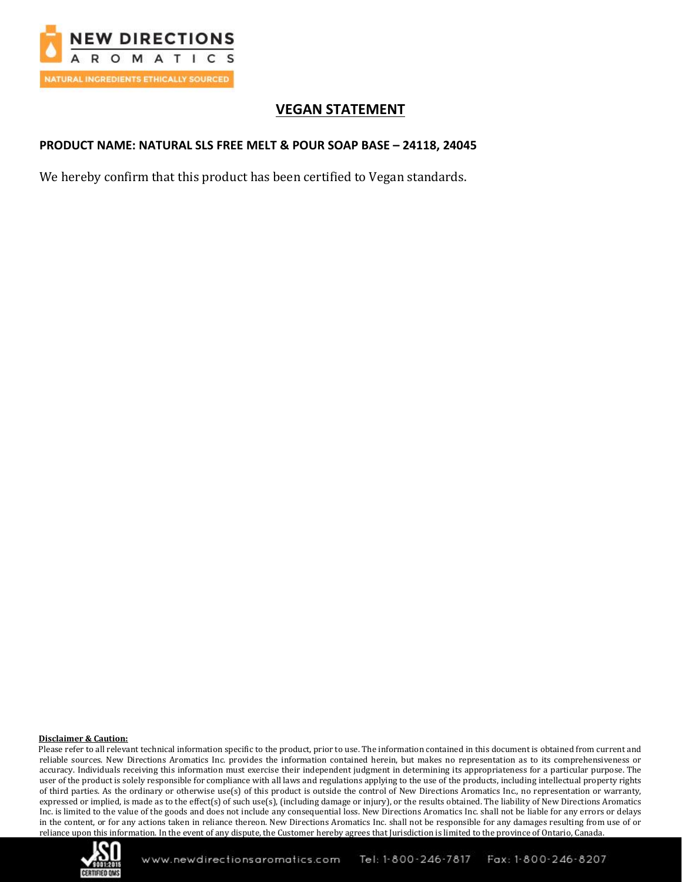

# **VEGAN STATEMENT**

## **PRODUCT NAME: NATURAL SLS FREE MELT & POUR SOAP BASE – 24118, 24045**

We hereby confirm that this product has been certified to Vegan standards.

### **Disclaimer & Caution:**